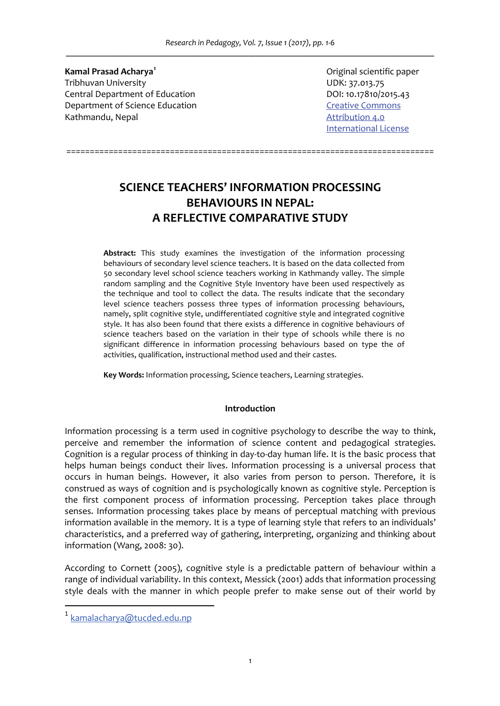*Research in Pedagogy, Vol. 7, Issue 1 (2017), pp. 1‐6 \_\_\_\_\_\_\_\_\_\_\_\_\_\_\_\_\_\_\_\_\_\_\_\_\_\_\_\_\_\_\_\_\_\_\_\_\_\_\_\_\_\_\_\_\_\_\_\_\_\_\_\_\_\_\_\_\_\_\_\_\_\_\_\_\_\_\_\_\_\_\_\_\_\_\_\_\_\_\_\_\_\_\_\_\_\_\_\_\_\_\_\_\_\_\_\_\_\_\_\_\_\_\_*

**Kamal Prasad Acharya<sup>1</sup>** Tribhuvan University<br>
Central Department of Education<br>
Central Department of Education<br>
COL: 10.17810/2015.43 Central Department of Education Department of Science Education Creative Commons Kathmandu, Nepal **Australia Expansion Accord Accord Accord Accord Accord Accord Accord Accord Accord Accord Accord Accord Accord Accord Accord Accord Accord Accord Accord Accord Accord Accord Accord Accord Accord Accord Ac** 

 Original scientific paper International License

# **SCIENCE TEACHERS' INFORMATION PROCESSING BEHAVIOURS IN NEPAL: A REFLECTIVE COMPARATIVE STUDY**

==============================================================================

**Abstract:** This study examines the investigation of the information processing behaviours of secondary level science teachers. It is based on the data collected from 50 secondary level school science teachers working in Kathmandy valley. The simple random sampling and the Cognitive Style Inventory have been used respectively as the technique and tool to collect the data. The results indicate that the secondary level science teachers possess three types of information processing behaviours, namely, split cognitive style, undifferentiated cognitive style and integrated cognitive style. It has also been found that there exists a difference in cognitive behaviours of science teachers based on the variation in their type of schools while there is no significant difference in information processing behaviours based on type the of activities, qualification, instructional method used and their castes.

**Key Words:** Information processing, Science teachers, Learning strategies.

# **Introduction**

Information processing is a term used in cognitive psychology to describe the way to think, perceive and remember the information of science content and pedagogical strategies. Cognition is a regular process of thinking in day‐to‐day human life. It is the basic process that helps human beings conduct their lives. Information processing is a universal process that occurs in human beings. However, it also varies from person to person. Therefore, it is construed as ways of cognition and is psychologically known as cognitive style. Perception is the first component process of information processing. Perception takes place through senses. Information processing takes place by means of perceptual matching with previous information available in the memory. It is a type of learning style that refers to an individuals' characteristics, and a preferred way of gathering, interpreting, organizing and thinking about information (Wang, 2008: 30).

According to Cornett (2005), cognitive style is a predictable pattern of behaviour within a range of individual variability. In this context, Messick (2001) adds that information processing style deals with the manner in which people prefer to make sense out of their world by

kamalacharya@tucded.edu.np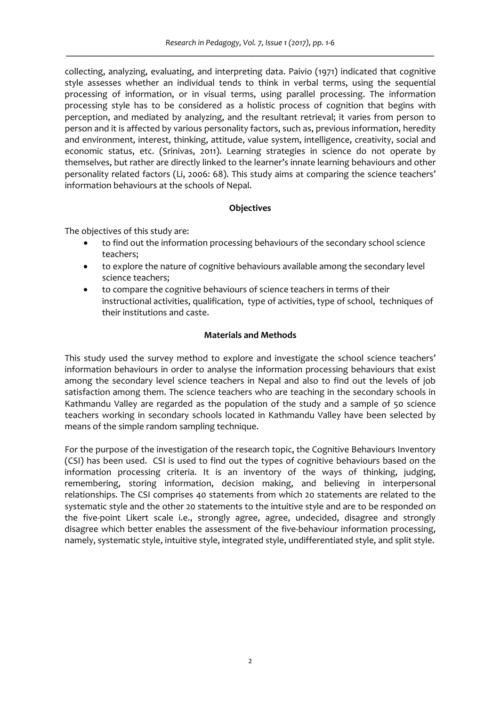collecting, analyzing, evaluating, and interpreting data. Paivio (1971) indicated that cognitive style assesses whether an individual tends to think in verbal terms, using the sequential processing of information, or in visual terms, using parallel processing. The information processing style has to be considered as a holistic process of cognition that begins with perception, and mediated by analyzing, and the resultant retrieval; it varies from person to person and it is affected by various personality factors, such as, previous information, heredity and environment, interest, thinking, attitude, value system, intelligence, creativity, social and economic status, etc. (Srinivas, 2011). Learning strategies in science do not operate by themselves, but rather are directly linked to the learner's innate learning behaviours and other personality related factors (Li, 2006: 68). This study aims at comparing the science teachers' information behaviours at the schools of Nepal.

# **Objectives**

The objectives of this study are:

- to find out the information processing behaviours of the secondary school science teachers;
- to explore the nature of cognitive behaviours available among the secondary level science teachers;
- to compare the cognitive behaviours of science teachers in terms of their instructional activities, qualification, type of activities, type of school, techniques of their institutions and caste.

# **Materials and Methods**

This study used the survey method to explore and investigate the school science teachers' information behaviours in order to analyse the information processing behaviours that exist among the secondary level science teachers in Nepal and also to find out the levels of job satisfaction among them. The science teachers who are teaching in the secondary schools in Kathmandu Valley are regarded as the population of the study and a sample of 50 science teachers working in secondary schools located in Kathmandu Valley have been selected by means of the simple random sampling technique.

For the purpose of the investigation of the research topic, the Cognitive Behaviours Inventory (CSI) has been used. CSI is used to find out the types of cognitive behaviours based on the information processing criteria. It is an inventory of the ways of thinking, judging, remembering, storing information, decision making, and believing in interpersonal relationships. The CSI comprises 40 statements from which 20 statements are related to the systematic style and the other 20 statements to the intuitive style and are to be responded on the five‐point Likert scale i.e., strongly agree, agree, undecided, disagree and strongly disagree which better enables the assessment of the five‐behaviour information processing, namely, systematic style, intuitive style, integrated style, undifferentiated style, and split style.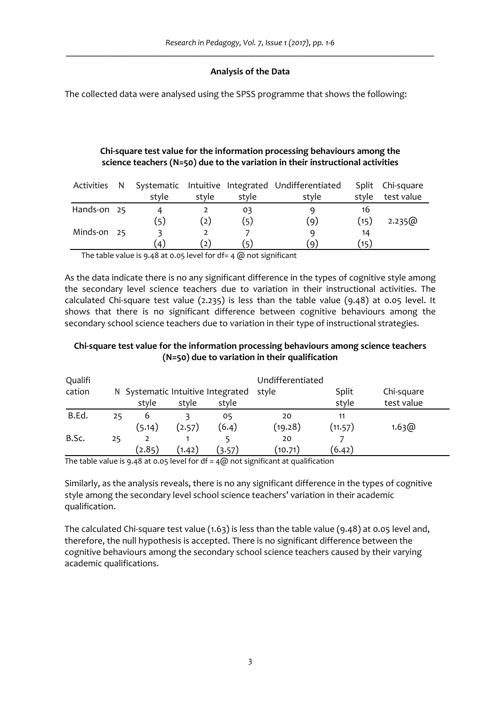# **Analysis of the Data**

The collected data were analysed using the SPSS programme that shows the following:

# **Chi‐square test value for the information processing behaviours among the science teachers (N=50) due to the variation in their instructional activities**

| Activities N |                    |       |       | Systematic Intuitive Integrated Undifferentiated |       | Split Chi-square |
|--------------|--------------------|-------|-------|--------------------------------------------------|-------|------------------|
|              | style              | style | style | style                                            | style | test value       |
| Hands-on 25  |                    |       | oз    | q                                                | 16    |                  |
|              | (5)                | 2)    | (۲    | (9)                                              | (15)  | 2.235)           |
| Minds-on 25  |                    |       |       | q                                                | 14    |                  |
|              | $\left( 4 \right)$ | ( 2   | E)    | ΄q                                               | (15)  |                  |

The table value is 9.48 at 0.05 level for df= 4 @ not significant

As the data indicate there is no any significant difference in the types of cognitive style among the secondary level science teachers due to variation in their instructional activities. The calculated Chi-square test value (2.235) is less than the table value (9.48) at 0.05 level. It shows that there is no significant difference between cognitive behaviours among the secondary school science teachers due to variation in their type of instructional strategies.

# **Chi‐square test value for the information processing behaviours among science teachers (N=50) due to variation in their qualification**

| Qualifi |    |                                   |        |        | Undifferentiated |            |            |  |
|---------|----|-----------------------------------|--------|--------|------------------|------------|------------|--|
| cation  |    | N Systematic Intuitive Integrated |        | style  | Split            | Chi-square |            |  |
|         |    | style                             | style  | style  |                  | style      | test value |  |
| B.Ed.   | 25 | 6                                 |        | 05     | 20               | 11         |            |  |
|         |    | (5.14)                            | (2.57) | (6.4)  | (19.28)          | (11.57)    | 1.63@      |  |
| B.Sc.   | 25 | 2                                 |        |        | 20               |            |            |  |
|         |    | (2.85)                            | (1.42) | (3.57) | (10.71)          | (6.42)     |            |  |

The table value is 9.48 at 0.05 level for  $df = 4\omega$  not significant at qualification

Similarly, as the analysis reveals, there is no any significant difference in the types of cognitive style among the secondary level school science teachers' variation in their academic qualification.

The calculated Chi-square test value (1.63) is less than the table value (9.48) at 0.05 level and, therefore, the null hypothesis is accepted. There is no significant difference between the cognitive behaviours among the secondary school science teachers caused by their varying academic qualifications.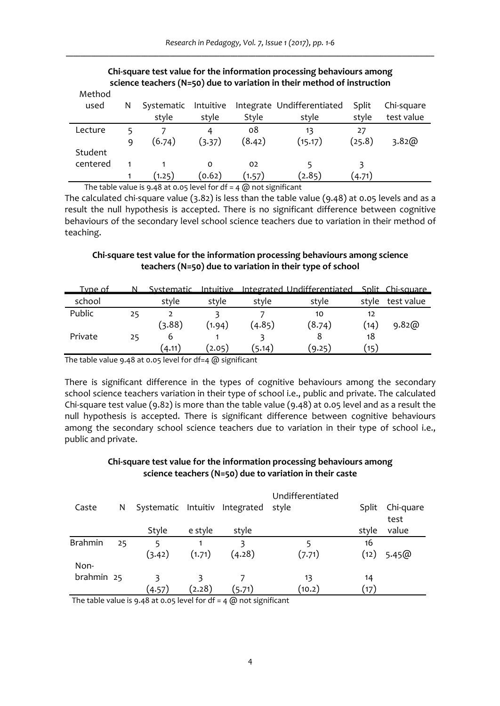| meurou<br>used | N | Systematic                  | Intuitive |               | Integrate Undifferentiated | Split  | Chi-square |
|----------------|---|-----------------------------|-----------|---------------|----------------------------|--------|------------|
|                |   | style                       | style     | Style         | style                      | style  | test value |
| Lecture        |   |                             |           | ο8            | 13                         | 27     |            |
|                | q | (6.74)                      | (3.37)    | (8.42)        | (15.17)                    | (25.8) | 3.82@      |
| Student        |   |                             |           |               |                            |        |            |
| centered       |   |                             | 0         | 02            |                            |        |            |
|                |   | (1.25)                      | (0.62)    | (1.57)        | (2.85)                     | (4.71) |            |
| .              | . | $\sim$ $\sim$ $\sim$ $\sim$ | .         | $\sim$ $\sim$ | $\sim$ $\sim$ $\sim$       |        |            |

#### **Chi‐square test value for the information processing behaviours among science teachers (N=50) due to variation in their method of instruction** M<sub>othod</sub>

The table value is 9.48 at 0.05 level for  $df = 4$   $@$  not significant

The calculated chi-square value  $(3.82)$  is less than the table value  $(9.48)$  at 0.05 levels and as a result the null hypothesis is accepted. There is no significant difference between cognitive behaviours of the secondary level school science teachers due to variation in their method of teaching.

# **Chi‐square test value for the information processing behaviours among science teachers (N=50) due to variation in their type of school**

| Type of |    | Systematic |        |        | Intuitive Integrated Undifferentiated Split Chi-square |            |            |
|---------|----|------------|--------|--------|--------------------------------------------------------|------------|------------|
| school  |    | style      | style  | style  | style                                                  | style      | test value |
| Public  | 25 | (3.88)     | (1.94) | (4.85) | 10<br>(8.74)                                           | 12<br>(14) | 9.82@      |
| Private | 25 | b          |        |        |                                                        | 18         |            |
|         |    | (4.11)     | 2.05   | 5.14)  | (9.25)                                                 | (15)       |            |

The table value 9.48 at 0.05 level for df=4 @ significant

There is significant difference in the types of cognitive behaviours among the secondary school science teachers variation in their type of school i.e., public and private. The calculated Chi-square test value (9.82) is more than the table value (9.48) at 0.05 level and as a result the null hypothesis is accepted. There is significant difference between cognitive behaviours among the secondary school science teachers due to variation in their type of school i.e., public and private.

# **Chi‐square test value for the information processing behaviours among science teachers (N=50) due to variation in their caste**

|                |    |                                |         |        | Undifferentiated |       |           |
|----------------|----|--------------------------------|---------|--------|------------------|-------|-----------|
| Caste          | N  | Systematic Intuitiv Integrated |         |        | style            | Split | Chi-guare |
|                |    |                                |         |        |                  |       | test      |
|                |    | Style                          | e style | style  |                  | style | value     |
| <b>Brahmin</b> | 25 | 5                              |         |        |                  | 16    |           |
|                |    | (3.42)                         | (1.71)  | (4.28) | (7.71)           | (12)  | 5.45@     |
| Non-           |    |                                |         |        |                  |       |           |
| brahmin 25     |    |                                |         |        | 13               | 14    |           |
|                |    | (4.57)                         | (2.28)  | (5.71) | (10.2)           | (17)  |           |

The table value is 9.48 at 0.05 level for  $df = 4$  ( $\omega$ ) not significant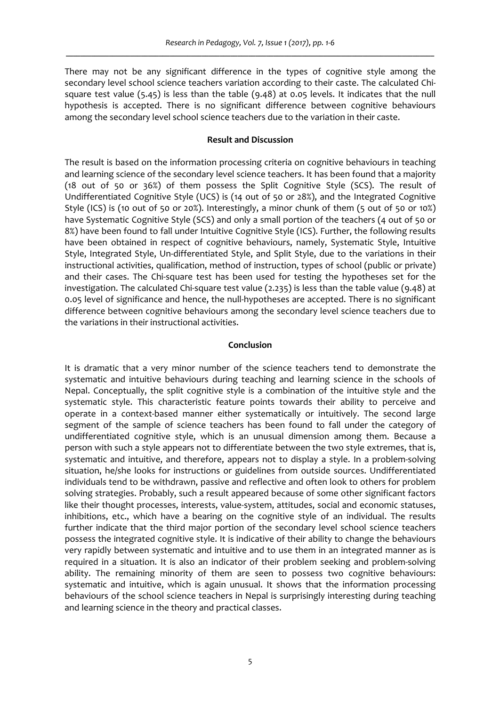There may not be any significant difference in the types of cognitive style among the secondary level school science teachers variation according to their caste. The calculated Chisquare test value (5.45) is less than the table (9.48) at 0.05 levels. It indicates that the null hypothesis is accepted. There is no significant difference between cognitive behaviours among the secondary level school science teachers due to the variation in their caste.

### **Result and Discussion**

The result is based on the information processing criteria on cognitive behaviours in teaching and learning science of the secondary level science teachers. It has been found that a majority (18 out of 50 or 36%) of them possess the Split Cognitive Style (SCS). The result of Undifferentiated Cognitive Style (UCS) is (14 out of 50 or 28%), and the Integrated Cognitive Style (ICS) is (10 out of 50 or 20%). Interestingly, a minor chunk of them (5 out of 50 or 10%) have Systematic Cognitive Style (SCS) and only a small portion of the teachers (4 out of 50 or 8%) have been found to fall under Intuitive Cognitive Style (ICS). Further, the following results have been obtained in respect of cognitive behaviours, namely, Systematic Style, Intuitive Style, Integrated Style, Un-differentiated Style, and Split Style, due to the variations in their instructional activities, qualification, method of instruction, types of school (public or private) and their cases. The Chi-square test has been used for testing the hypotheses set for the investigation. The calculated Chi‐square test value (2.235) is less than the table value (9.48) at 0.05 level of significance and hence, the null-hypotheses are accepted. There is no significant difference between cognitive behaviours among the secondary level science teachers due to the variations in their instructional activities.

### **Conclusion**

It is dramatic that a very minor number of the science teachers tend to demonstrate the systematic and intuitive behaviours during teaching and learning science in the schools of Nepal. Conceptually, the split cognitive style is a combination of the intuitive style and the systematic style. This characteristic feature points towards their ability to perceive and operate in a context-based manner either systematically or intuitively. The second large segment of the sample of science teachers has been found to fall under the category of undifferentiated cognitive style, which is an unusual dimension among them. Because a person with such a style appears not to differentiate between the two style extremes, that is, systematic and intuitive, and therefore, appears not to display a style. In a problem‐solving situation, he/she looks for instructions or guidelines from outside sources. Undifferentiated individuals tend to be withdrawn, passive and reflective and often look to others for problem solving strategies. Probably, such a result appeared because of some other significant factors like their thought processes, interests, value-system, attitudes, social and economic statuses, inhibitions, etc., which have a bearing on the cognitive style of an individual. The results further indicate that the third major portion of the secondary level school science teachers possess the integrated cognitive style. It is indicative of their ability to change the behaviours very rapidly between systematic and intuitive and to use them in an integrated manner as is required in a situation. It is also an indicator of their problem seeking and problem‐solving ability. The remaining minority of them are seen to possess two cognitive behaviours: systematic and intuitive, which is again unusual. It shows that the information processing behaviours of the school science teachers in Nepal is surprisingly interesting during teaching and learning science in the theory and practical classes.